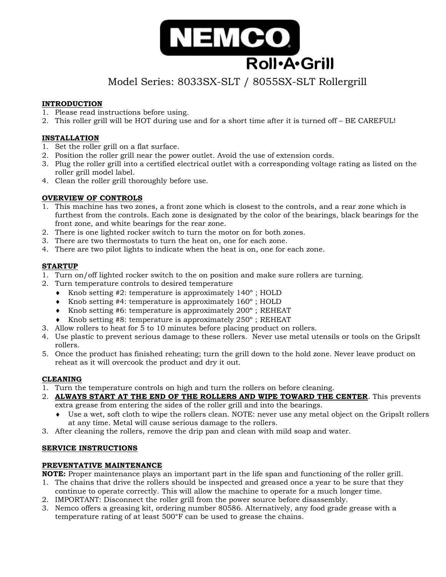

# Model Series: 8033SX-SLT / 8055SX-SLT Rollergrill

## **INTRODUCTION**

- 1. Please read instructions before using.
- 2. This roller grill will be HOT during use and for a short time after it is turned off BE CAREFUL!

## **INSTALLATION**

- 1. Set the roller grill on a flat surface.
- 2. Position the roller grill near the power outlet. Avoid the use of extension cords.
- 3. Plug the roller grill into a certified electrical outlet with a corresponding voltage rating as listed on the roller grill model label.
- 4. Clean the roller grill thoroughly before use.

## **OVERVIEW OF CONTROLS**

- 1. This machine has two zones, a front zone which is closest to the controls, and a rear zone which is furthest from the controls. Each zone is designated by the color of the bearings, black bearings for the front zone, and white bearings for the rear zone.
- 2. There is one lighted rocker switch to turn the motor on for both zones.
- 3. There are two thermostats to turn the heat on, one for each zone.
- 4. There are two pilot lights to indicate when the heat is on, one for each zone.

## **STARTUP**

- 1. Turn on/off lighted rocker switch to the on position and make sure rollers are turning.
- 2. Turn temperature controls to desired temperature
	- $\bullet$  Knob setting #2: temperature is approximately 140 $\degree$ ; HOLD
	- $\bullet$  Knob setting #4: temperature is approximately 160 $\degree$ ; HOLD
	- $\bullet$  Knob setting #6: temperature is approximately 200 $\degree$ ; REHEAT
	- $\bullet$  Knob setting #8: temperature is approximately 250 $\degree$ ; REHEAT
- 3. Allow rollers to heat for 5 to 10 minutes before placing product on rollers.
- 4. Use plastic to prevent serious damage to these rollers. Never use metal utensils or tools on the GripsIt rollers.
- 5. Once the product has finished reheating; turn the grill down to the hold zone. Never leave product on reheat as it will overcook the product and dry it out.

### **CLEANING**

- 1. Turn the temperature controls on high and turn the rollers on before cleaning.
- 2. **ALWAYS START AT THE END OF THE ROLLERS AND WIPE TOWARD THE CENTER**. This prevents extra grease from entering the sides of the roller grill and into the bearings.
	- Use a wet, soft cloth to wipe the rollers clean. NOTE: never use any metal object on the GripsIt rollers at any time. Metal will cause serious damage to the rollers.
- 3. After cleaning the rollers, remove the drip pan and clean with mild soap and water.

#### **SERVICE INSTRUCTIONS**

#### **PREVENTATIVE MAINTENANCE**

**NOTE:** Proper maintenance plays an important part in the life span and functioning of the roller grill.

- 1. The chains that drive the rollers should be inspected and greased once a year to be sure that they continue to operate correctly. This will allow the machine to operate for a much longer time.
- 2. IMPORTANT: Disconnect the roller grill from the power source before disassembly.
- 3. Nemco offers a greasing kit, ordering number 80586. Alternatively, any food grade grease with a temperature rating of at least 500°F can be used to grease the chains.